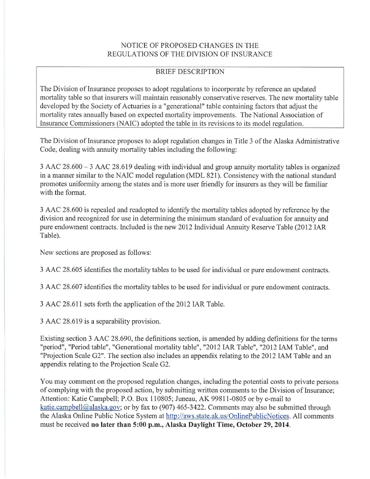## NOTICE OF PROPOSED CHANGES IN THE REGULATIONS OF THE DIVISION OF INSURANCE

# BRIEF DESCRIPTION

The Division of Insurance proposes to adopt regulations to incorporate by reference an updated mortality table so that insurers will maintain reasonably conservative reserves. The new mortality table developed by the Society of Actuaries is a "generational" table containing factors that adjust the mortality rates annually based on expected mortality improvements. The National Association of Insurance Commissioners (NAIC) adopted the table in its revisions to its model regulation.

The Division of Insurance proposes to adopt regulation changes in Title 3 of the Alaska Administrative Code, dealing with annuity mortality tables including the following:

3 AAC 28.600 - 3 AAC 28.619 dealing with individual and group annuity mortality tables is organized in a manner similar to the NAlC model regulation (MDL 821). Consistency with the national standard promotes uniformity among the states and is more user friendly for insurers as they will be familiar with the format.

3 AAC 28.600 is repealed and readopted to identify the mortality tables adopted by reference by the division and recognized for use in determining the minimum standard of evaluation for annuity and pure endowment contracts. Included is the new 2012 Individual Annuity Reserve Table (2012 IAR Table).

New sections are proposed as follows:

3 AAC 28.605 identifies the mortality tables to be used for individual or pure endowment contracts.

3 AAC 28.607 identifies the mortality tables to be used for individual or pure endowment contracts.

3 AAC 28.611 sets forth the application of the 2012 IAR Table.

3 AAC 28.6 19 is a separability provision.

Existing section 3 AAC 28.690, the definitions section, is amended by adding definitions for the terms "period", "Period table", "Generational mortality table", "2012 IAR Table", "2012 IAM Table", and "Projection Scale G2". The section also includes an appendix relating to the 2012 IAM Table and an appendix relating to the Projection Scale G2.

You may comment on the proposed regulation changes, including the potential costs to private persons of complying with the proposed action, by submitting written comments to the Division of Insurance; Attention: Katie Campbell; P.O. Box 110805; Juneau, AK 99811-0805 or by e-mail to katie.campbell@alaska.gov; or by fax to (907) 465-3422. Comments may also be submitted through the Alaska Online Public Notice System at http://aws.state.ak.us/OnlinePublicNotices. All comments must be received **no later than 5:00 p.m., Alaska Daylight Time, October** 29, **2014.**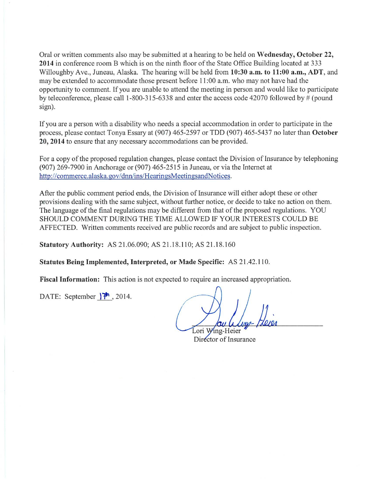Oral or written comments also may be submitted at a hearing to be held on **Wednesday, October 22, 2014** in conference room B which is on the ninth floor of the State Office Building located at 333 Willoughby Ave., Juneau, Alaska. The hearing will be held from **10:30 a.m. to 11:00 a.m., ADT,** and may be extended to accommodate those present before 11 :00 a.m. who may not have had the opportunity to comment. If you are unable to attend the meeting in person and would like to participate by teleconference, please call 1-800-315-6338 and enter the access code 42070 followed by # (pound sign).

If you are a person with a disability who needs a special accommodation in order to participate in the process, please contact Tonya Essary at (907) 465-2597 or TDD (907) 465-5437 no later than **October 20, 2014** to ensure that any necessary accommodations can be provided.

For a copy of the proposed regulation changes, please contact the Division of Insurance by telephoning (907) 269-7900 in Anchorage or (907) 465-2515 in Juneau, or via the Internet at http://commerce.alaska.gov/dnn/ins/HearingsMeetingsandNotices.

After the public comment period ends, the Division of Insurance will either adopt these or other provisions dealing with the same subject, without further notice, or decide to take no action on them. The language of the final regulations may be different from that of the proposed regulations. YOU SHOULD COMMENT DURING THE TIME ALLOWED IF YOUR INTERESTS COULD BE AFFECTED. Written comments received are public records and are subject to public inspection.

**Statutory Authority: AS 21.06.090; AS 21.18.110; AS 21.18.160** 

**Statutes Being Implemented, Interpreted, or Made Specific:** AS 21.42.110.

**Fiscal Information:** This action is not expected to require an increased appropriation.

DATE: September **)"1' ,** 2014.

Lori Wing-Heier

Director of Insurance